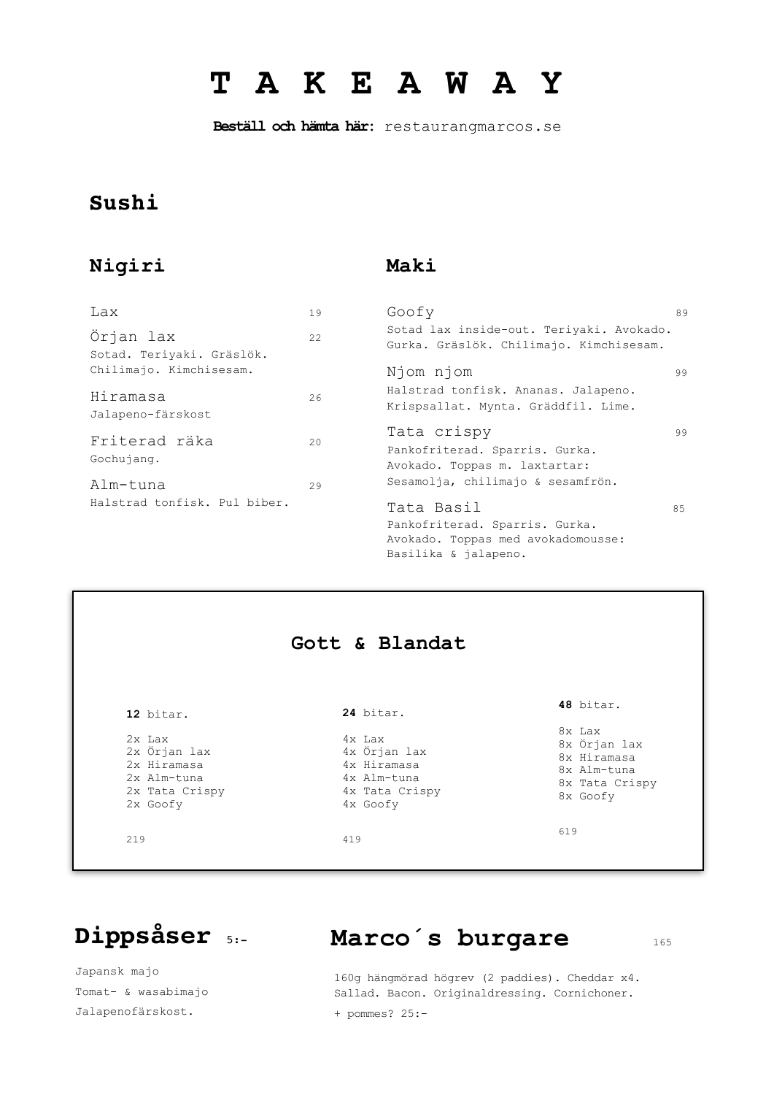# **T A K E A W A Y**

 **Beställ och hämta här:** restaurangmarcos.se

### **Sushi**

### **Nigiri**

### **Maki**

| Lax                                    | 19 | Goofy                                                                                                      | 89 |
|----------------------------------------|----|------------------------------------------------------------------------------------------------------------|----|
| Örjan lax<br>Sotad. Teriyaki. Gräslök. | 22 | Sotad lax inside-out. Teriyaki. Avokado.<br>Gurka. Gräslök. Chilimajo. Kimchisesam.                        |    |
| Chilimajo. Kimchisesam.                |    | Njom njom                                                                                                  | 99 |
| Hiramasa<br>Jalapeno-färskost          | 26 | Halstrad tonfisk. Ananas. Jalapeno.<br>Krispsallat. Mynta. Gräddfil. Lime.                                 |    |
| Friterad räka<br>Gochujang.            | 20 | Tata crispy<br>Pankofriterad. Sparris. Gurka.<br>Avokado. Toppas m. laxtartar:                             | 99 |
| Alm-tuna                               | 29 | Sesamolja, chilimajo & sesamfrön.                                                                          |    |
| Halstrad tonfisk. Pul biber.           |    | Tata Basil<br>Pankofriterad. Sparris. Gurka.<br>Avokado. Toppas med avokadomousse:<br>Basilika & jalapeno. | 85 |



# **Dippsåser** 5:- **Marco´s burgare** 165

Japansk majo Tomat- & wasabimajo Jalapenofärskost.

### 160g hängmörad högrev (2 paddies). Cheddar x4. Sallad. Bacon. Originaldressing. Cornichoner.

+ pommes? 25:-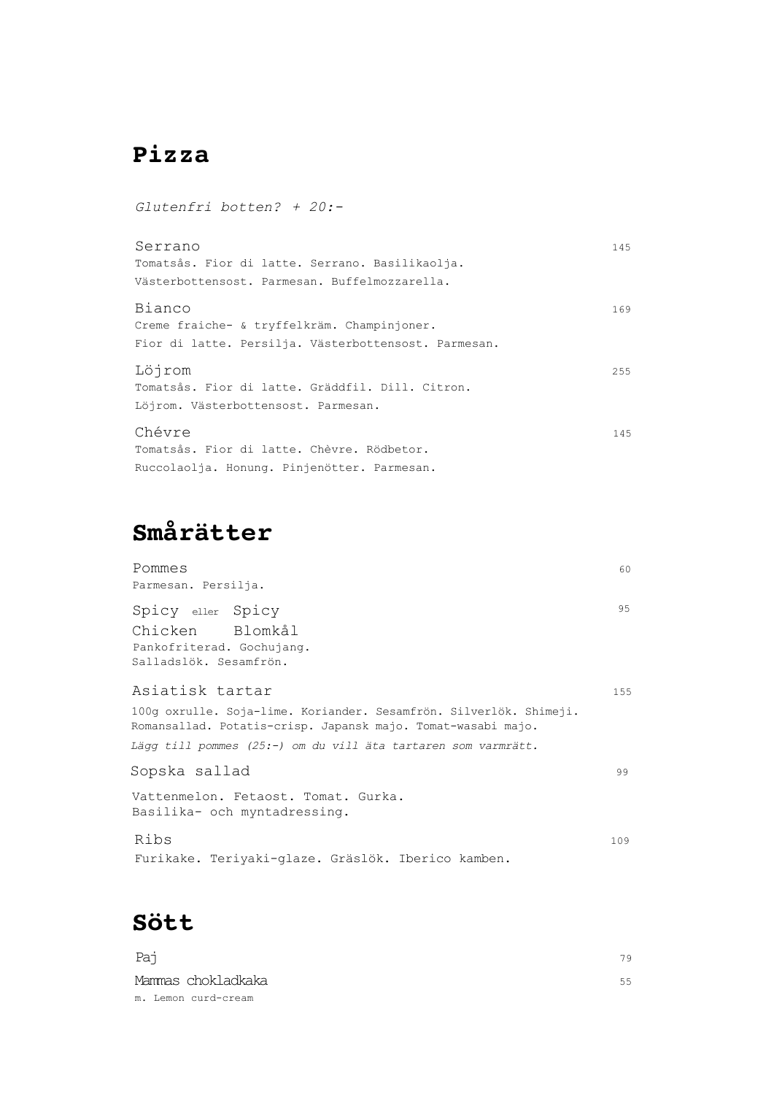# **Pizza**

*Glutenfri botten? + 20:-*

| Serrano                                              | 145 |
|------------------------------------------------------|-----|
| Tomatsås. Fior di latte. Serrano. Basilikaolja.      |     |
| Västerbottensost. Parmesan. Buffelmozzarella.        |     |
| Bianco                                               | 169 |
| Creme fraiche- & tryffelkräm. Champinjoner.          |     |
| Fior di latte. Persilja. Västerbottensost. Parmesan. |     |
| Löjrom                                               | 255 |
| Tomatsås. Fior di latte. Gräddfil. Dill. Citron.     |     |
| Löjrom. Västerbottensost. Parmesan.                  |     |
| Chévre                                               | 145 |
| Tomatsås. Fior di latte. Chèvre. Rödbetor.           |     |
| Ruccolaolja. Honung. Pinjenötter. Parmesan.          |     |

# **Smårätter**

| Pommes                                                                                                                             | 60  |
|------------------------------------------------------------------------------------------------------------------------------------|-----|
| Parmesan. Persilja.                                                                                                                |     |
| Spicy eller Spicy                                                                                                                  | 95  |
| Chicken Blomkål                                                                                                                    |     |
| Pankofriterad. Gochujang.                                                                                                          |     |
| Salladslök. Sesamfrön.                                                                                                             |     |
| Asiatisk tartar                                                                                                                    | 155 |
| 100g oxrulle. Soja-lime. Koriander. Sesamfrön. Silverlök. Shimeji.<br>Romansallad. Potatis-crisp. Japansk majo. Tomat-wasabi majo. |     |
| Lägg till pommes (25:-) om du vill äta tartaren som varmrätt.                                                                      |     |
| Sopska sallad                                                                                                                      | 99  |
| Vattenmelon. Fetaost. Tomat. Gurka.<br>Basilika- och myntadressing.                                                                |     |
| Ribs                                                                                                                               | 109 |
| Furikake. Teriyaki-glaze. Gräslök. Iberico kamben.                                                                                 |     |

**Sött**

| Paj                 | 79 |
|---------------------|----|
| Mammas chokladkaka  | 55 |
| m. Lemon curd-cream |    |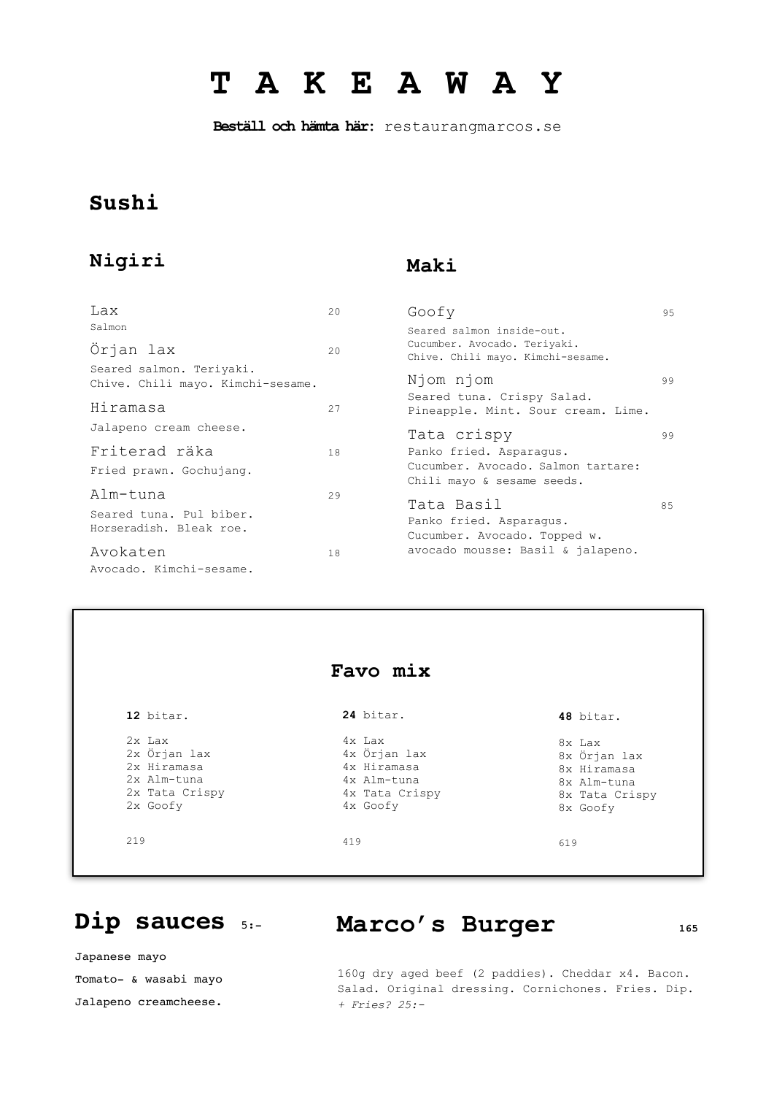# **T A K E A W A Y**

 **Beställ och hämta här:** restaurangmarcos.se

### **Sushi**

### **Nigiri**

### **Maki**

| Lax                                                           | 20  | Goofy                                                                 | 9.5 |
|---------------------------------------------------------------|-----|-----------------------------------------------------------------------|-----|
| Salmon                                                        |     | Seared salmon inside-out.                                             |     |
| Örjan lax                                                     | 2.0 | Cucumber. Avocado. Teriyaki.<br>Chive. Chili mayo. Kimchi-sesame.     |     |
| Seared salmon. Teriyaki.<br>Chive. Chili mayo. Kimchi-sesame. |     | Njom njom                                                             | 99  |
| Hiramasa                                                      | 27  | Seared tuna. Crispy Salad.<br>Pineapple. Mint. Sour cream. Lime.      |     |
| Jalapeno cream cheese.                                        |     | Tata crispy                                                           | 99  |
| Friterad räka                                                 | 18  | Panko fried. Asparaqus.                                               |     |
| Fried prawn. Gochujang.                                       |     | Cucumber. Avocado. Salmon tartare:<br>Chili mayo & sesame seeds.      |     |
| Alm-tuna                                                      | 29  |                                                                       |     |
| Seared tuna. Pul biber.<br>Horseradish. Bleak roe.            |     | Tata Basil<br>Panko fried. Asparaqus.<br>Cucumber. Avocado. Topped w. | 85  |
| Avokaten                                                      | 18  | avocado mousse: Basil & jalapeno.                                     |     |
| Avocado. Kimchi-sesame.                                       |     |                                                                       |     |

|                | Favo mix       |                |
|----------------|----------------|----------------|
| 12 bitar.      | 24 bitar.      | 48 bitar.      |
| 2x Lax         | 4x Lax         | 8x Lax         |
| 2x Örjan lax   | 4x Örjan lax   | 8x Örjan lax   |
| 2x Hiramasa    | 4x Hiramasa    | 8x Hiramasa    |
| 2x Alm-tuna    | 4x Alm-tuna    | 8x Alm-tuna    |
| 2x Tata Crispy | 4x Tata Crispy | 8x Tata Crispy |
| 2x Goofy       | 4x Goofy       | 8x Goofy       |

Dip sauces 5:- Marco's Burger 165

Japanese mayo Tomato- & wasabi mayo Jalapeno creamcheese.

### 160g dry aged beef (2 paddies). Cheddar x4. Bacon. Salad. Original dressing. Cornichones. Fries. Dip. *+ Fries? 25:-*